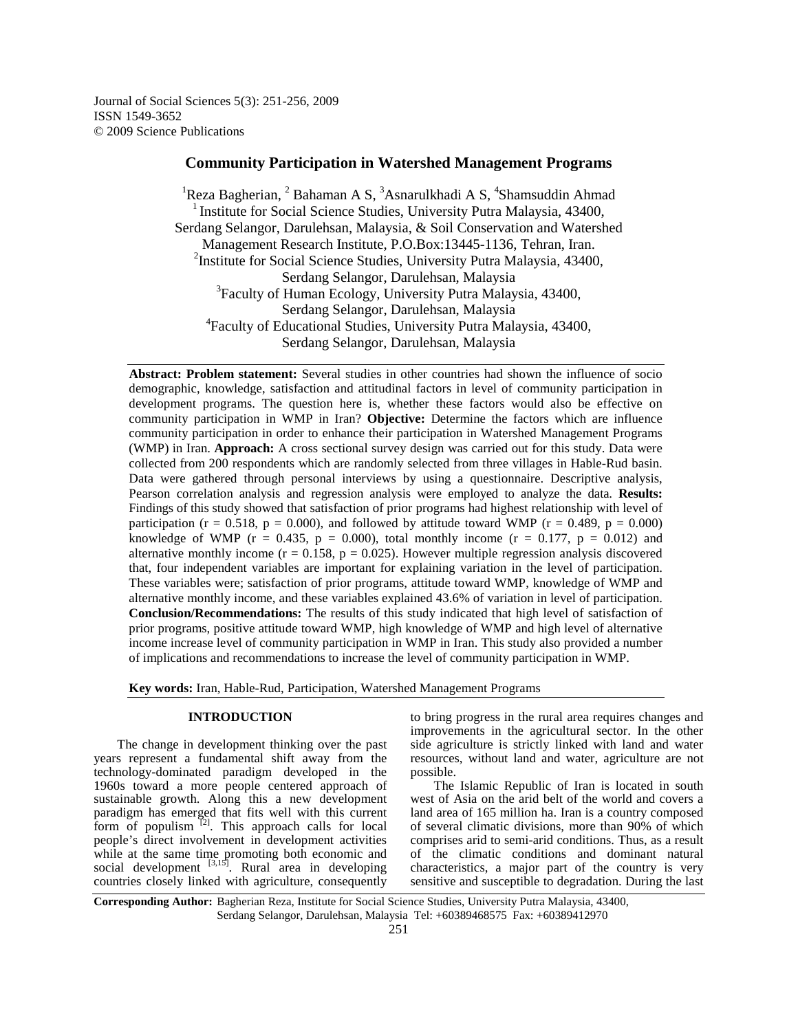Journal of Social Sciences 5(3): 251-256, 2009 ISSN 1549-3652 © 2009 Science Publications

# **Community Participation in Watershed Management Programs**

<sup>1</sup>Reza Bagherian, <sup>2</sup> Bahaman A S, <sup>3</sup>Asnarulkhadi A S, <sup>4</sup>Shamsuddin Ahmad <sup>1</sup> Institute for Social Science Studies, University Putra Malaysia,  $43400$ , Serdang Selangor, Darulehsan, Malaysia, & Soil Conservation and Watershed Management Research Institute, P.O.Box:13445-1136, Tehran, Iran. <sup>2</sup>Institute for Social Science Studies, University Putra Malaysia, 43400, Serdang Selangor, Darulehsan, Malaysia <sup>3</sup> Faculty of Human Ecology, University Putra Malaysia, 43400, Serdang Selangor, Darulehsan, Malaysia 4 Faculty of Educational Studies, University Putra Malaysia, 43400, Serdang Selangor, Darulehsan, Malaysia

**Abstract: Problem statement:** Several studies in other countries had shown the influence of socio demographic, knowledge, satisfaction and attitudinal factors in level of community participation in development programs. The question here is, whether these factors would also be effective on community participation in WMP in Iran? **Objective:** Determine the factors which are influence community participation in order to enhance their participation in Watershed Management Programs (WMP) in Iran. **Approach:** A cross sectional survey design was carried out for this study. Data were collected from 200 respondents which are randomly selected from three villages in Hable-Rud basin. Data were gathered through personal interviews by using a questionnaire. Descriptive analysis, Pearson correlation analysis and regression analysis were employed to analyze the data. **Results:** Findings of this study showed that satisfaction of prior programs had highest relationship with level of participation (r = 0.518, p = 0.000), and followed by attitude toward WMP (r = 0.489, p = 0.000) knowledge of WMP ( $r = 0.435$ ,  $p = 0.000$ ), total monthly income ( $r = 0.177$ ,  $p = 0.012$ ) and alternative monthly income ( $r = 0.158$ ,  $p = 0.025$ ). However multiple regression analysis discovered that, four independent variables are important for explaining variation in the level of participation. These variables were; satisfaction of prior programs, attitude toward WMP, knowledge of WMP and alternative monthly income, and these variables explained 43.6% of variation in level of participation. **Conclusion/Recommendations:** The results of this study indicated that high level of satisfaction of prior programs, positive attitude toward WMP, high knowledge of WMP and high level of alternative income increase level of community participation in WMP in Iran. This study also provided a number of implications and recommendations to increase the level of community participation in WMP.

**Key words:** Iran, Hable-Rud, Participation, Watershed Management Programs

## **INTRODUCTION**

 The change in development thinking over the past years represent a fundamental shift away from the technology-dominated paradigm developed in the 1960s toward a more people centered approach of sustainable growth. Along this a new development paradigm has emerged that fits well with this current form of populism  $[2]$ . This approach calls for local people's direct involvement in development activities while at the same time promoting both economic and social development  $\left[3,15\right]$ . Rural area in developing countries closely linked with agriculture, consequently

to bring progress in the rural area requires changes and improvements in the agricultural sector. In the other side agriculture is strictly linked with land and water resources, without land and water, agriculture are not possible.

 The Islamic Republic of Iran is located in south west of Asia on the arid belt of the world and covers a land area of 165 million ha. Iran is a country composed of several climatic divisions, more than 90% of which comprises arid to semi-arid conditions. Thus, as a result of the climatic conditions and dominant natural characteristics, a major part of the country is very sensitive and susceptible to degradation. During the last

**Corresponding Author:** Bagherian Reza, Institute for Social Science Studies, University Putra Malaysia, 43400, Serdang Selangor, Darulehsan, Malaysia Tel: +60389468575 Fax: +60389412970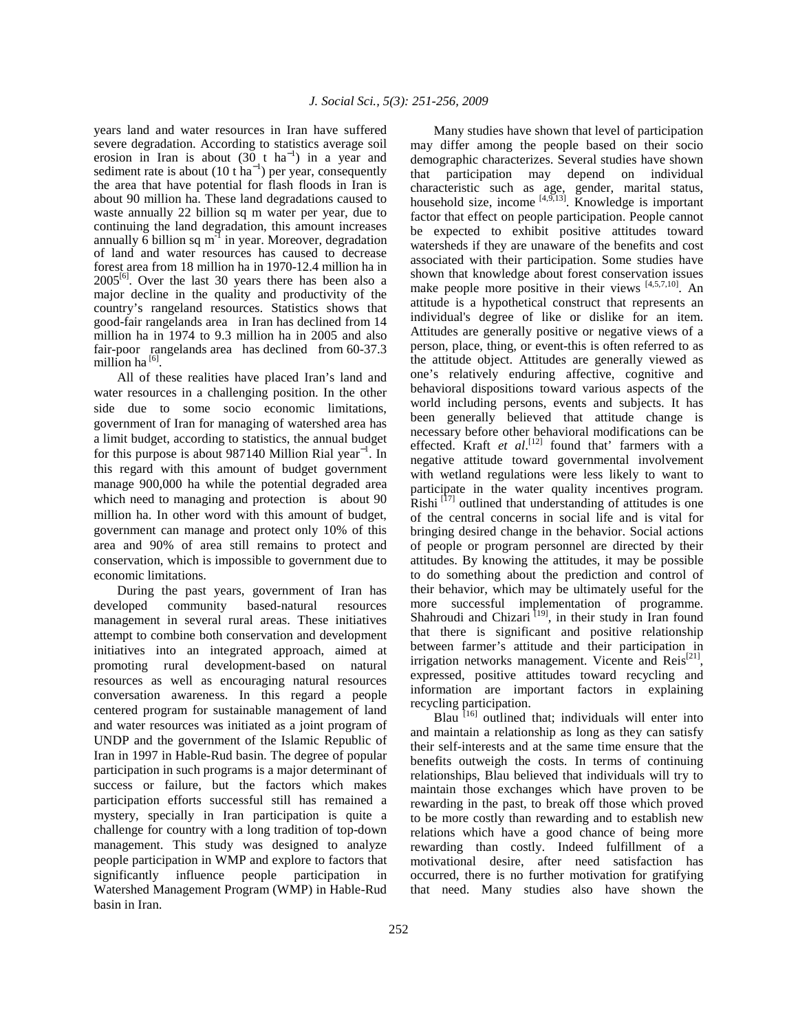years land and water resources in Iran have suffered severe degradation. According to statistics average soil erosion in Iran is about  $(30 \text{ t} \text{ ha}^{-1})$  in a year and sediment rate is about  $(10 \text{ t ha}^{-1})$  per year, consequently the area that have potential for flash floods in Iran is about 90 million ha. These land degradations caused to waste annually 22 billion sq m water per year, due to continuing the land degradation, this amount increases annually  $\overline{6}$  billion sq m<sup>-1</sup> in year. Moreover, degradation of land and water resources has caused to decrease forest area from 18 million ha in 1970-12.4 million ha in  $2005^{[6]}$ . Over the last 30 years there has been also a major decline in the quality and productivity of the country's rangeland resources. Statistics shows that good-fair rangelands area in Iran has declined from 14 million ha in 1974 to 9.3 million ha in 2005 and also fair-poor rangelands area has declined from 60-37.3 million ha  $^{[6]}$ .

 All of these realities have placed Iran's land and water resources in a challenging position. In the other side due to some socio economic limitations, government of Iran for managing of watershed area has a limit budget, according to statistics, the annual budget for this purpose is about 987140 Million Rial year<sup>-1</sup>. In this regard with this amount of budget government manage 900,000 ha while the potential degraded area which need to managing and protection is about 90 million ha. In other word with this amount of budget, government can manage and protect only 10% of this area and 90% of area still remains to protect and conservation, which is impossible to government due to economic limitations.

 During the past years, government of Iran has developed community based-natural resources management in several rural areas. These initiatives attempt to combine both conservation and development initiatives into an integrated approach, aimed at promoting rural development-based on natural resources as well as encouraging natural resources conversation awareness. In this regard a people centered program for sustainable management of land and water resources was initiated as a joint program of UNDP and the government of the Islamic Republic of Iran in 1997 in Hable-Rud basin. The degree of popular participation in such programs is a major determinant of success or failure, but the factors which makes participation efforts successful still has remained a mystery, specially in Iran participation is quite a challenge for country with a long tradition of top-down management. This study was designed to analyze people participation in WMP and explore to factors that significantly influence people participation in Watershed Management Program (WMP) in Hable-Rud basin in Iran.

 Many studies have shown that level of participation may differ among the people based on their socio demographic characterizes. Several studies have shown that participation may depend on individual characteristic such as age, gender, marital status, household size, income  $[4,9,13]$ . Knowledge is important factor that effect on people participation. People cannot be expected to exhibit positive attitudes toward watersheds if they are unaware of the benefits and cost associated with their participation. Some studies have shown that knowledge about forest conservation issues make people more positive in their views  $[4,5,7,10]$ . An attitude is a hypothetical construct that represents an individual's degree of like or dislike for an item. Attitudes are generally positive or negative views of a person, place, thing, or event-this is often referred to as the attitude object. Attitudes are generally viewed as one's relatively enduring affective, cognitive and behavioral dispositions toward various aspects of the world including persons, events and subjects. It has been generally believed that attitude change is necessary before other behavioral modifications can be effected. Kraft *et al.*<sup>[12]</sup> found that' farmers with a negative attitude toward governmental involvement with wetland regulations were less likely to want to participate in the water quality incentives program.  $Rishi$ <sup>[17]</sup> outlined that understanding of attitudes is one of the central concerns in social life and is vital for bringing desired change in the behavior. Social actions of people or program personnel are directed by their attitudes. By knowing the attitudes, it may be possible to do something about the prediction and control of their behavior, which may be ultimately useful for the more successful implementation of programme. Shahroudi and Chizari  $^{[19]}$ , in their study in Iran found that there is significant and positive relationship between farmer's attitude and their participation in irrigation networks management. Vicente and  $Reis^{[21]}$ , expressed, positive attitudes toward recycling and information are important factors in explaining recycling participation.

Blau  $\frac{1}{6}$  outlined that; individuals will enter into and maintain a relationship as long as they can satisfy their self-interests and at the same time ensure that the benefits outweigh the costs. In terms of continuing relationships, Blau believed that individuals will try to maintain those exchanges which have proven to be rewarding in the past, to break off those which proved to be more costly than rewarding and to establish new relations which have a good chance of being more rewarding than costly. Indeed fulfillment of a motivational desire, after need satisfaction has occurred, there is no further motivation for gratifying that need. Many studies also have shown the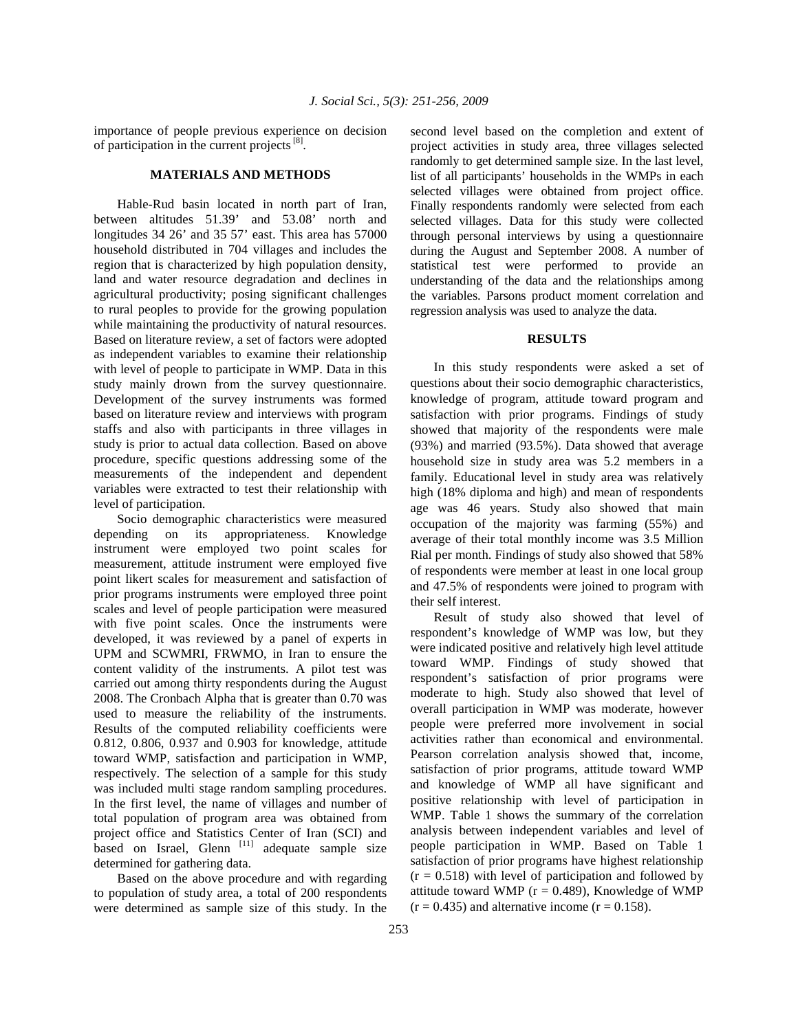importance of people previous experience on decision of participation in the current projects<sup>[8]</sup>.

## **MATERIALS AND METHODS**

 Hable-Rud basin located in north part of Iran, between altitudes 51.39' and 53.08' north and longitudes 34 26' and 35 57' east. This area has 57000 household distributed in 704 villages and includes the region that is characterized by high population density, land and water resource degradation and declines in agricultural productivity; posing significant challenges to rural peoples to provide for the growing population while maintaining the productivity of natural resources. Based on literature review, a set of factors were adopted as independent variables to examine their relationship with level of people to participate in WMP. Data in this study mainly drown from the survey questionnaire. Development of the survey instruments was formed based on literature review and interviews with program staffs and also with participants in three villages in study is prior to actual data collection. Based on above procedure, specific questions addressing some of the measurements of the independent and dependent variables were extracted to test their relationship with level of participation.

 Socio demographic characteristics were measured depending on its appropriateness. Knowledge instrument were employed two point scales for measurement, attitude instrument were employed five point likert scales for measurement and satisfaction of prior programs instruments were employed three point scales and level of people participation were measured with five point scales. Once the instruments were developed, it was reviewed by a panel of experts in UPM and SCWMRI, FRWMO, in Iran to ensure the content validity of the instruments. A pilot test was carried out among thirty respondents during the August 2008. The Cronbach Alpha that is greater than 0.70 was used to measure the reliability of the instruments. Results of the computed reliability coefficients were 0.812, 0.806, 0.937 and 0.903 for knowledge, attitude toward WMP, satisfaction and participation in WMP, respectively. The selection of a sample for this study was included multi stage random sampling procedures. In the first level, the name of villages and number of total population of program area was obtained from project office and Statistics Center of Iran (SCI) and based on Israel, Glenn<sup>[11]</sup> adequate sample size determined for gathering data.

 Based on the above procedure and with regarding to population of study area, a total of 200 respondents were determined as sample size of this study. In the second level based on the completion and extent of project activities in study area, three villages selected randomly to get determined sample size. In the last level, list of all participants' households in the WMPs in each selected villages were obtained from project office. Finally respondents randomly were selected from each selected villages. Data for this study were collected through personal interviews by using a questionnaire during the August and September 2008. A number of statistical test were performed to provide an understanding of the data and the relationships among the variables. Parsons product moment correlation and regression analysis was used to analyze the data.

### **RESULTS**

 In this study respondents were asked a set of questions about their socio demographic characteristics, knowledge of program, attitude toward program and satisfaction with prior programs. Findings of study showed that majority of the respondents were male (93%) and married (93.5%). Data showed that average household size in study area was 5.2 members in a family. Educational level in study area was relatively high (18% diploma and high) and mean of respondents age was 46 years. Study also showed that main occupation of the majority was farming (55%) and average of their total monthly income was 3.5 Million Rial per month. Findings of study also showed that 58% of respondents were member at least in one local group and 47.5% of respondents were joined to program with their self interest.

 Result of study also showed that level of respondent's knowledge of WMP was low, but they were indicated positive and relatively high level attitude toward WMP. Findings of study showed that respondent's satisfaction of prior programs were moderate to high. Study also showed that level of overall participation in WMP was moderate, however people were preferred more involvement in social activities rather than economical and environmental. Pearson correlation analysis showed that, income, satisfaction of prior programs, attitude toward WMP and knowledge of WMP all have significant and positive relationship with level of participation in WMP. Table 1 shows the summary of the correlation analysis between independent variables and level of people participation in WMP. Based on Table 1 satisfaction of prior programs have highest relationship  $(r = 0.518)$  with level of participation and followed by attitude toward WMP ( $r = 0.489$ ), Knowledge of WMP  $(r = 0.435)$  and alternative income  $(r = 0.158)$ .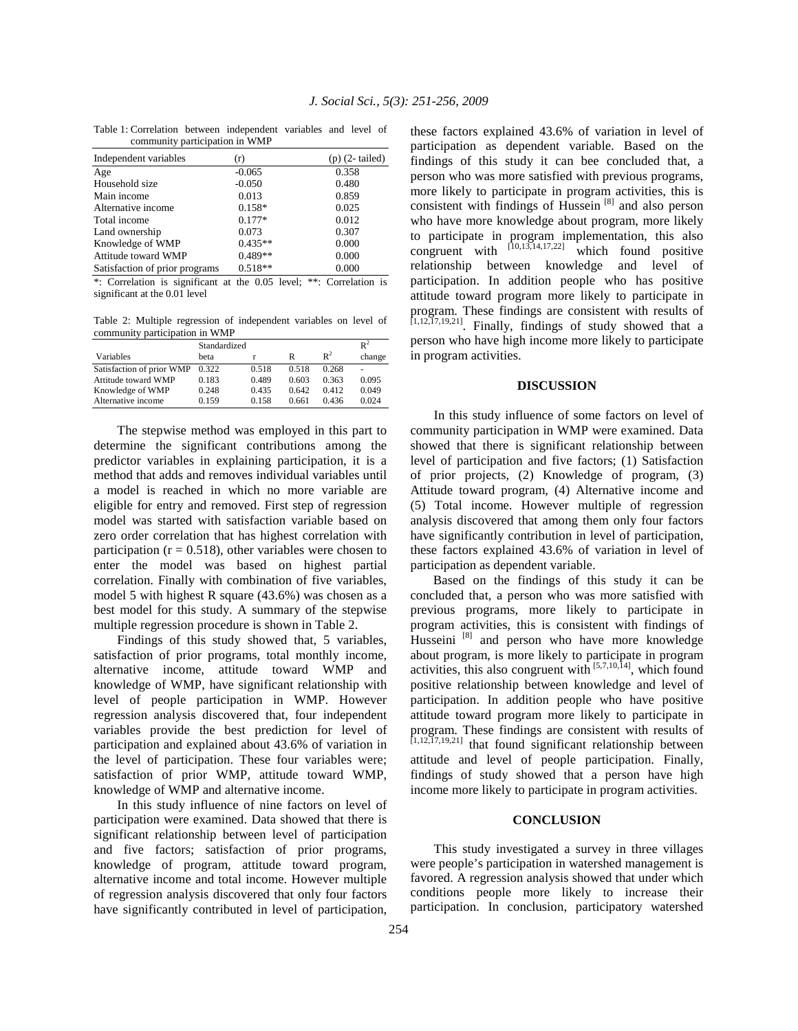Table 1: Correlation between independent variables and level of community participation in WMP

| Independent variables          | (r)       | $(p)$ (2-tailed) |
|--------------------------------|-----------|------------------|
| Age                            | $-0.065$  | 0.358            |
| Household size                 | $-0.050$  | 0.480            |
| Main income                    | 0.013     | 0.859            |
| Alternative income             | $0.158*$  | 0.025            |
| Total income                   | $0.177*$  | 0.012            |
| Land ownership                 | 0.073     | 0.307            |
| Knowledge of WMP               | $0.435**$ | 0.000            |
| Attitude toward WMP            | $0.489**$ | 0.000            |
| Satisfaction of prior programs | $0.518**$ | 0.000            |
|                                |           |                  |

\*: Correlation is significant at the 0.05 level; \*\*: Correlation is significant at the 0.01 level

Table 2: Multiple regression of independent variables on level of community participation in WMP

|                           | Standardized | $R^2$ |       |       |        |
|---------------------------|--------------|-------|-------|-------|--------|
| Variables                 | heta         |       | R     | $R^2$ | change |
| Satisfaction of prior WMP | 0.322        | 0.518 | 0.518 | 0.268 | ٠      |
| Attitude toward WMP       | 0.183        | 0.489 | 0.603 | 0.363 | 0.095  |
| Knowledge of WMP          | 0.248        | 0.435 | 0.642 | 0.412 | 0.049  |
| Alternative income        | 0.159        | 0.158 | 0.661 | 0.436 | 0.024  |

 The stepwise method was employed in this part to determine the significant contributions among the predictor variables in explaining participation, it is a method that adds and removes individual variables until a model is reached in which no more variable are eligible for entry and removed. First step of regression model was started with satisfaction variable based on zero order correlation that has highest correlation with participation ( $r = 0.518$ ), other variables were chosen to enter the model was based on highest partial correlation. Finally with combination of five variables, model 5 with highest R square (43.6%) was chosen as a best model for this study. A summary of the stepwise multiple regression procedure is shown in Table 2.

 Findings of this study showed that, 5 variables, satisfaction of prior programs, total monthly income, alternative income, attitude toward WMP and knowledge of WMP, have significant relationship with level of people participation in WMP. However regression analysis discovered that, four independent variables provide the best prediction for level of participation and explained about 43.6% of variation in the level of participation. These four variables were; satisfaction of prior WMP, attitude toward WMP, knowledge of WMP and alternative income.

 In this study influence of nine factors on level of participation were examined. Data showed that there is significant relationship between level of participation and five factors; satisfaction of prior programs, knowledge of program, attitude toward program, alternative income and total income. However multiple of regression analysis discovered that only four factors have significantly contributed in level of participation,

these factors explained 43.6% of variation in level of participation as dependent variable. Based on the findings of this study it can bee concluded that, a person who was more satisfied with previous programs, more likely to participate in program activities, this is consistent with findings of Hussein  $[8]$  and also person who have more knowledge about program, more likely to participate in program implementation, this also congruent with  $[10,13,14,17,22]$  which found positive relationship between knowledge and level of participation. In addition people who has positive attitude toward program more likely to participate in program. These findings are consistent with results of  $[1,12,17,19,21]$ . Finally, findings of study showed that a person who have high income more likely to participate in program activities.

## **DISCUSSION**

 In this study influence of some factors on level of community participation in WMP were examined. Data showed that there is significant relationship between level of participation and five factors; (1) Satisfaction of prior projects, (2) Knowledge of program, (3) Attitude toward program, (4) Alternative income and (5) Total income. However multiple of regression analysis discovered that among them only four factors have significantly contribution in level of participation, these factors explained 43.6% of variation in level of participation as dependent variable.

 Based on the findings of this study it can be concluded that, a person who was more satisfied with previous programs, more likely to participate in program activities, this is consistent with findings of Husseini <a>[8]</a> and person who have more knowledge about program, is more likely to participate in program activities, this also congruent with  $[5,7,10,14]$ , which found positive relationship between knowledge and level of participation. In addition people who have positive attitude toward program more likely to participate in program. These findings are consistent with results of  $[1,12,17,19,21]$  that found significant relationship between attitude and level of people participation. Finally, findings of study showed that a person have high income more likely to participate in program activities.

### **CONCLUSION**

 This study investigated a survey in three villages were people's participation in watershed management is favored. A regression analysis showed that under which conditions people more likely to increase their participation. In conclusion, participatory watershed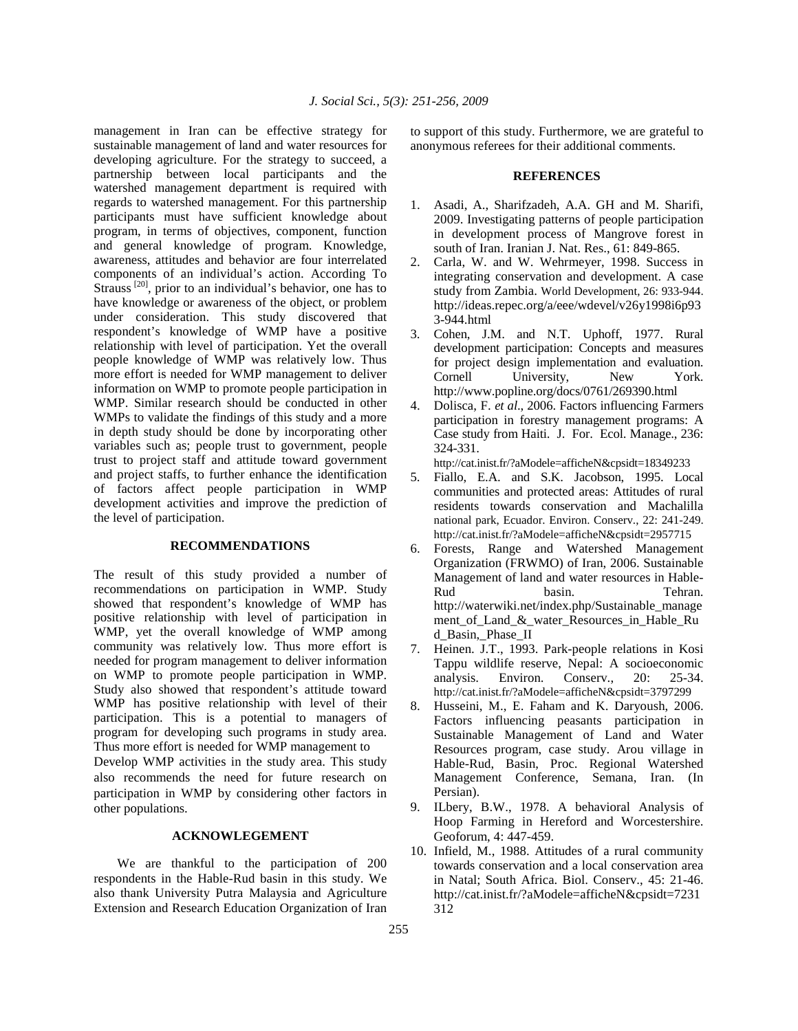management in Iran can be effective strategy for sustainable management of land and water resources for developing agriculture. For the strategy to succeed, a partnership between local participants and the watershed management department is required with regards to watershed management. For this partnership participants must have sufficient knowledge about program, in terms of objectives, component, function and general knowledge of program. Knowledge, awareness, attitudes and behavior are four interrelated components of an individual's action. According To Strauss<sup>[20]</sup>, prior to an individual's behavior, one has to have knowledge or awareness of the object, or problem under consideration. This study discovered that respondent's knowledge of WMP have a positive relationship with level of participation. Yet the overall people knowledge of WMP was relatively low. Thus more effort is needed for WMP management to deliver information on WMP to promote people participation in WMP. Similar research should be conducted in other WMPs to validate the findings of this study and a more in depth study should be done by incorporating other variables such as; people trust to government, people trust to project staff and attitude toward government and project staffs, to further enhance the identification of factors affect people participation in WMP development activities and improve the prediction of the level of participation.

#### **RECOMMENDATIONS**

The result of this study provided a number of recommendations on participation in WMP. Study showed that respondent's knowledge of WMP has positive relationship with level of participation in WMP, yet the overall knowledge of WMP among community was relatively low. Thus more effort is needed for program management to deliver information on WMP to promote people participation in WMP. Study also showed that respondent's attitude toward WMP has positive relationship with level of their participation. This is a potential to managers of program for developing such programs in study area. Thus more effort is needed for WMP management to

Develop WMP activities in the study area. This study also recommends the need for future research on participation in WMP by considering other factors in other populations.

## **ACKNOWLEGEMENT**

 We are thankful to the participation of 200 respondents in the Hable-Rud basin in this study. We also thank University Putra Malaysia and Agriculture Extension and Research Education Organization of Iran

to support of this study. Furthermore, we are grateful to anonymous referees for their additional comments.

### **REFERENCES**

- 1. Asadi, A., Sharifzadeh, A.A. GH and M. Sharifi, 2009. Investigating patterns of people participation in development process of Mangrove forest in south of Iran. Iranian J. Nat. Res., 61: 849-865.
- 2. Carla, W. and W. Wehrmeyer, 1998. Success in integrating conservation and development. A case study from Zambia. World Development, 26: 933-944. http://ideas.repec.org/a/eee/wdevel/v26y1998i6p93 3-944.html
- 3. Cohen, J.M. and N.T. Uphoff, 1977. Rural development participation: Concepts and measures for project design implementation and evaluation. Cornell University, New York. http://www.popline.org/docs/0761/269390.html
- 4. Dolisca, F. *et al*., 2006. Factors influencing Farmers participation in forestry management programs: A Case study from Haiti. J. For. Ecol. Manage., 236: 324-331.

http://cat.inist.fr/?aModele=afficheN&cpsidt=18349233

- 5. Fiallo, E.A. and S.K. Jacobson, 1995. Local communities and protected areas: Attitudes of rural residents towards conservation and Machalilla national park, Ecuador. Environ. Conserv., 22: 241-249. http://cat.inist.fr/?aModele=afficheN&cpsidt=2957715
- 6. Forests, Range and Watershed Management Organization (FRWMO) of Iran, 2006. Sustainable Management of land and water resources in Hable-Rud basin. Tehran. http://waterwiki.net/index.php/Sustainable\_manage ment\_of\_Land\_&\_water\_Resources\_in\_Hable\_Ru d\_Basin,\_Phase\_II
- 7. Heinen. J.T., 1993. Park-people relations in Kosi Tappu wildlife reserve, Nepal: A socioeconomic analysis. Environ. Conserv., 20: 25-34. http://cat.inist.fr/?aModele=afficheN&cpsidt=3797299
- 8. Husseini, M., E. Faham and K. Daryoush, 2006. Factors influencing peasants participation in Sustainable Management of Land and Water Resources program, case study. Arou village in Hable-Rud, Basin, Proc. Regional Watershed Management Conference, Semana, Iran. (In Persian).
- 9. ILbery, B.W., 1978. A behavioral Analysis of Hoop Farming in Hereford and Worcestershire. Geoforum, 4: 447-459.
- 10. Infield, M., 1988. Attitudes of a rural community towards conservation and a local conservation area in Natal; South Africa. Biol. Conserv., 45: 21-46. http://cat.inist.fr/?aModele=afficheN&cpsidt=7231 312